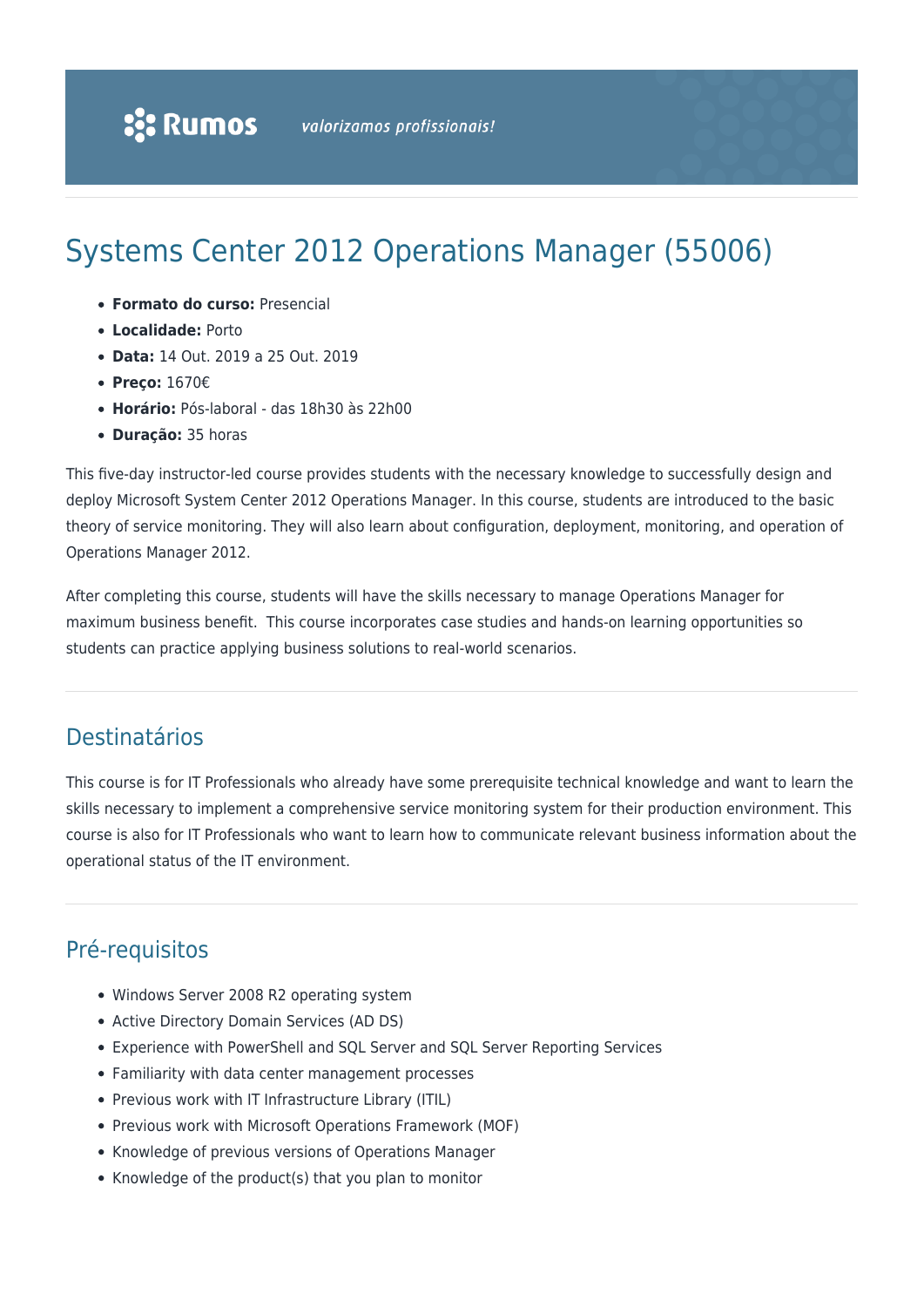# Systems Center 2012 Operations Manager (55006)

- **Formato do curso:** Presencial
- **Localidade:** Porto
- **Data:** 14 Out. 2019 a 25 Out. 2019
- **Preço:** 1670€
- **Horário:** Pós-laboral das 18h30 às 22h00
- **Duração:** 35 horas

This five-day instructor-led course provides students with the necessary knowledge to successfully design and deploy Microsoft System Center 2012 Operations Manager. In this course, students are introduced to the basic theory of service monitoring. They will also learn about configuration, deployment, monitoring, and operation of Operations Manager 2012.

After completing this course, students will have the skills necessary to manage Operations Manager for maximum business benefit. This course incorporates case studies and hands-on learning opportunities so students can practice applying business solutions to real-world scenarios.

# Destinatários

This course is for IT Professionals who already have some prerequisite technical knowledge and want to learn the skills necessary to implement a comprehensive service monitoring system for their production environment. This course is also for IT Professionals who want to learn how to communicate relevant business information about the operational status of the IT environment.

# Pré-requisitos

- Windows Server 2008 R2 operating system
- Active Directory Domain Services (AD DS)
- Experience with PowerShell and SQL Server and SQL Server Reporting Services
- Familiarity with data center management processes
- Previous work with IT Infrastructure Library (ITIL)
- Previous work with Microsoft Operations Framework (MOF)
- Knowledge of previous versions of Operations Manager
- Knowledge of the product(s) that you plan to monitor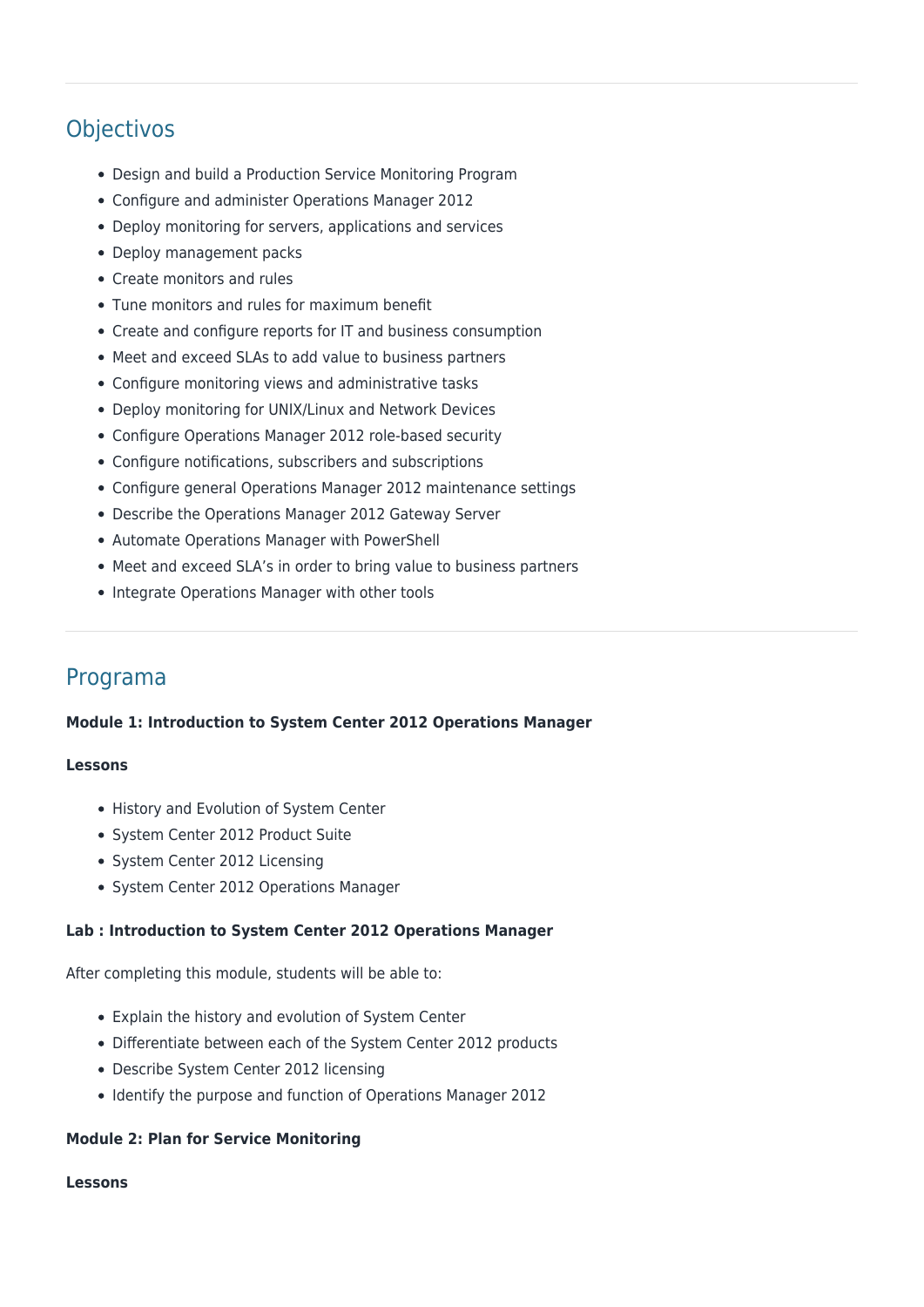# **Objectivos**

- Design and build a Production Service Monitoring Program
- Configure and administer Operations Manager 2012
- Deploy monitoring for servers, applications and services
- Deploy management packs
- Create monitors and rules
- Tune monitors and rules for maximum benefit
- Create and configure reports for IT and business consumption
- Meet and exceed SLAs to add value to business partners
- Configure monitoring views and administrative tasks
- Deploy monitoring for UNIX/Linux and Network Devices
- Configure Operations Manager 2012 role-based security
- Configure notifications, subscribers and subscriptions
- Configure general Operations Manager 2012 maintenance settings
- Describe the Operations Manager 2012 Gateway Server
- Automate Operations Manager with PowerShell
- Meet and exceed SLA's in order to bring value to business partners
- Integrate Operations Manager with other tools

# Programa

#### **Module 1: Introduction to System Center 2012 Operations Manager**

#### **Lessons**

- History and Evolution of System Center
- System Center 2012 Product Suite
- System Center 2012 Licensing
- System Center 2012 Operations Manager

#### **Lab : Introduction to System Center 2012 Operations Manager**

After completing this module, students will be able to:

- Explain the history and evolution of System Center
- Differentiate between each of the System Center 2012 products
- Describe System Center 2012 licensing
- Identify the purpose and function of Operations Manager 2012

#### **Module 2: Plan for Service Monitoring**

#### **Lessons**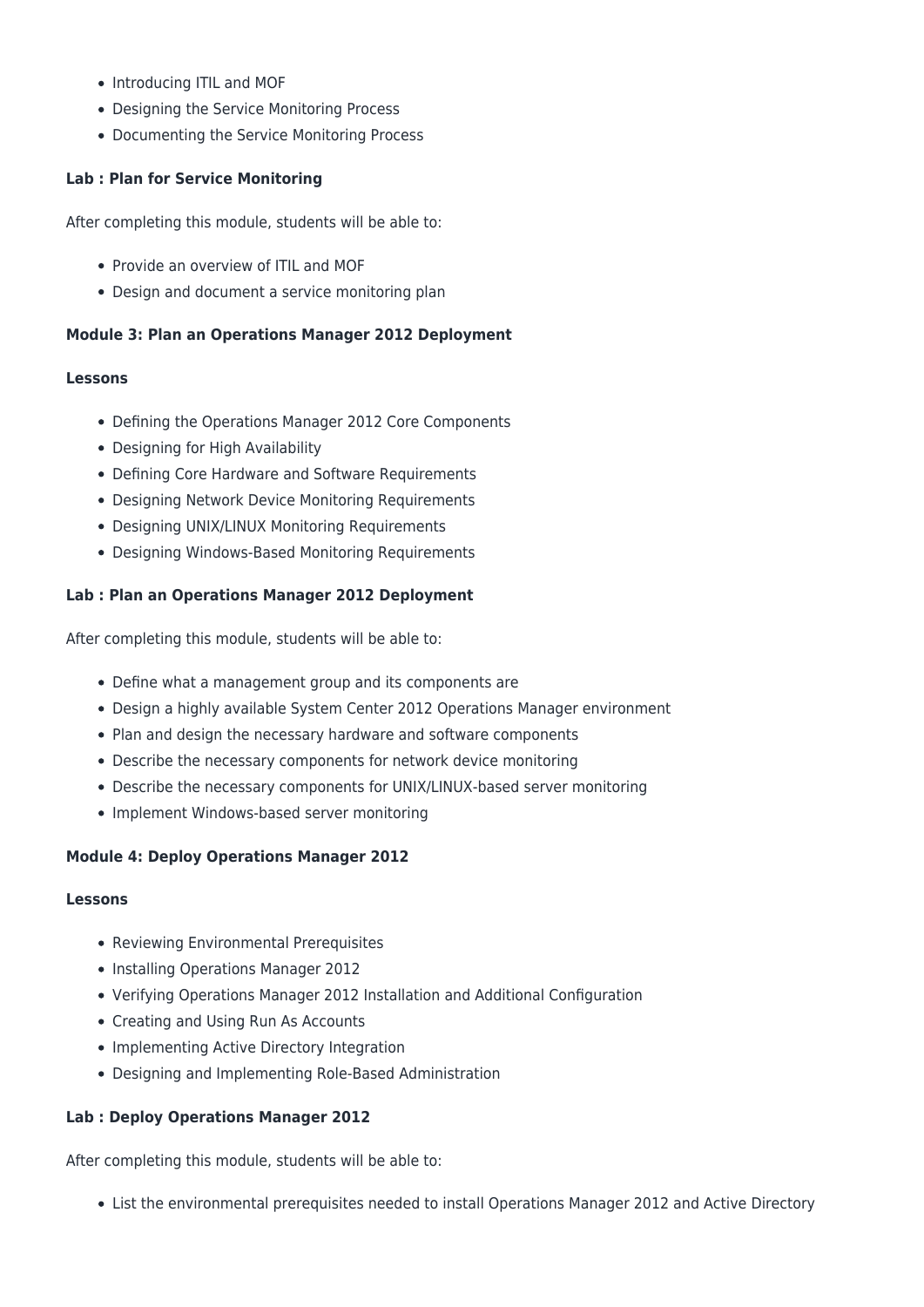- Introducing ITIL and MOF
- Designing the Service Monitoring Process
- Documenting the Service Monitoring Process

# **Lab : Plan for Service Monitoring**

After completing this module, students will be able to:

- Provide an overview of ITIL and MOF
- Design and document a service monitoring plan

# **Module 3: Plan an Operations Manager 2012 Deployment**

# **Lessons**

- Defining the Operations Manager 2012 Core Components
- Designing for High Availability
- Defining Core Hardware and Software Requirements
- Designing Network Device Monitoring Requirements
- Designing UNIX/LINUX Monitoring Requirements
- Designing Windows-Based Monitoring Requirements

# **Lab : Plan an Operations Manager 2012 Deployment**

After completing this module, students will be able to:

- Define what a management group and its components are
- Design a highly available System Center 2012 Operations Manager environment
- Plan and design the necessary hardware and software components
- Describe the necessary components for network device monitoring
- Describe the necessary components for UNIX/LINUX-based server monitoring
- Implement Windows-based server monitoring

# **Module 4: Deploy Operations Manager 2012**

#### **Lessons**

- Reviewing Environmental Prerequisites
- Installing Operations Manager 2012
- Verifying Operations Manager 2012 Installation and Additional Configuration
- Creating and Using Run As Accounts
- Implementing Active Directory Integration
- Designing and Implementing Role-Based Administration

# **Lab : Deploy Operations Manager 2012**

After completing this module, students will be able to:

List the environmental prerequisites needed to install Operations Manager 2012 and Active Directory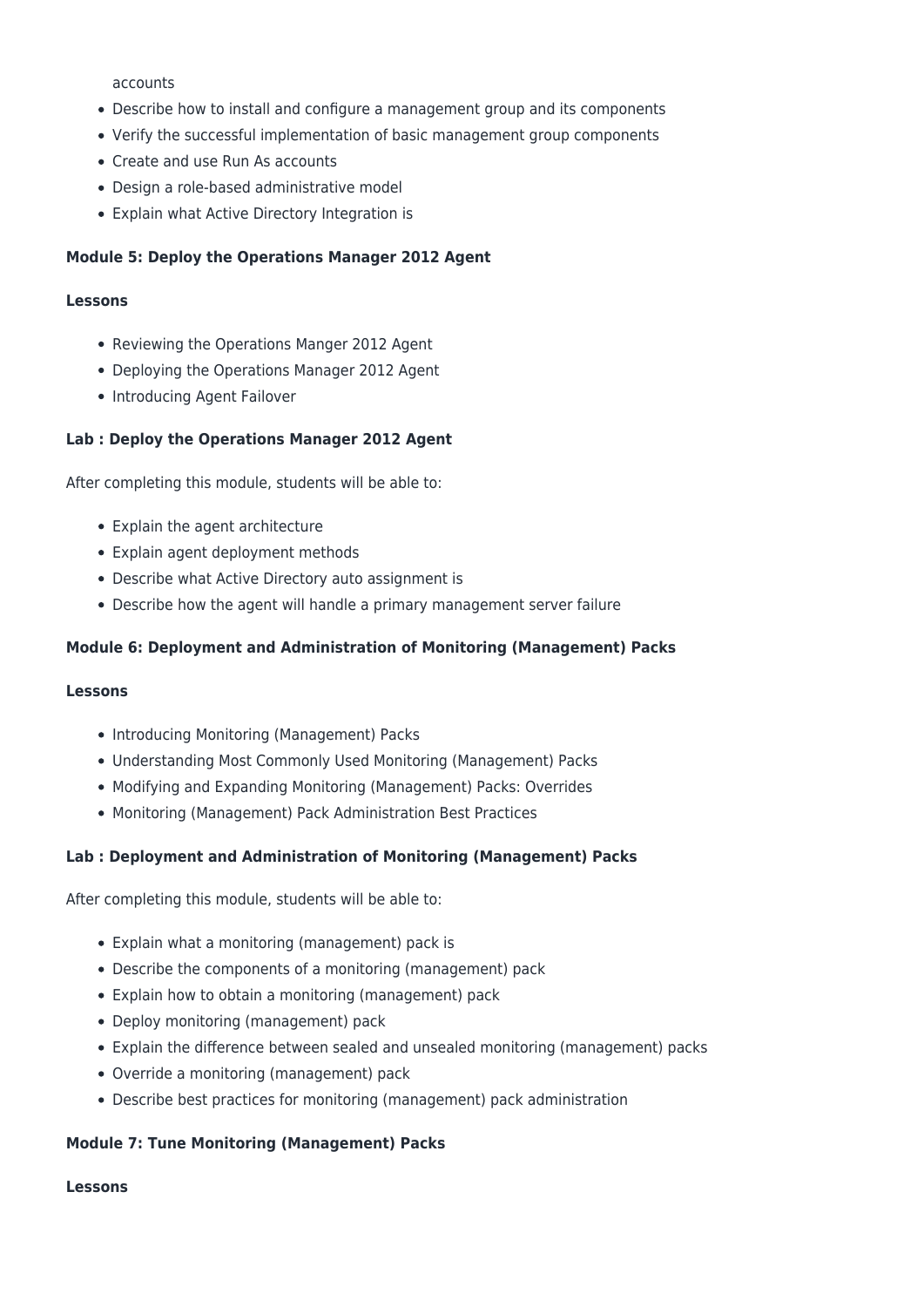accounts

- Describe how to install and configure a management group and its components
- Verify the successful implementation of basic management group components
- Create and use Run As accounts
- Design a role-based administrative model
- Explain what Active Directory Integration is

#### **Module 5: Deploy the Operations Manager 2012 Agent**

#### **Lessons**

- Reviewing the Operations Manger 2012 Agent
- Deploying the Operations Manager 2012 Agent
- Introducing Agent Failover

#### **Lab : Deploy the Operations Manager 2012 Agent**

After completing this module, students will be able to:

- Explain the agent architecture
- Explain agent deployment methods
- Describe what Active Directory auto assignment is
- Describe how the agent will handle a primary management server failure

#### **Module 6: Deployment and Administration of Monitoring (Management) Packs**

#### **Lessons**

- Introducing Monitoring (Management) Packs
- Understanding Most Commonly Used Monitoring (Management) Packs
- Modifying and Expanding Monitoring (Management) Packs: Overrides
- Monitoring (Management) Pack Administration Best Practices

#### **Lab : Deployment and Administration of Monitoring (Management) Packs**

After completing this module, students will be able to:

- Explain what a monitoring (management) pack is
- Describe the components of a monitoring (management) pack
- Explain how to obtain a monitoring (management) pack
- Deploy monitoring (management) pack
- Explain the difference between sealed and unsealed monitoring (management) packs
- Override a monitoring (management) pack
- Describe best practices for monitoring (management) pack administration

#### **Module 7: Tune Monitoring (Management) Packs**

#### **Lessons**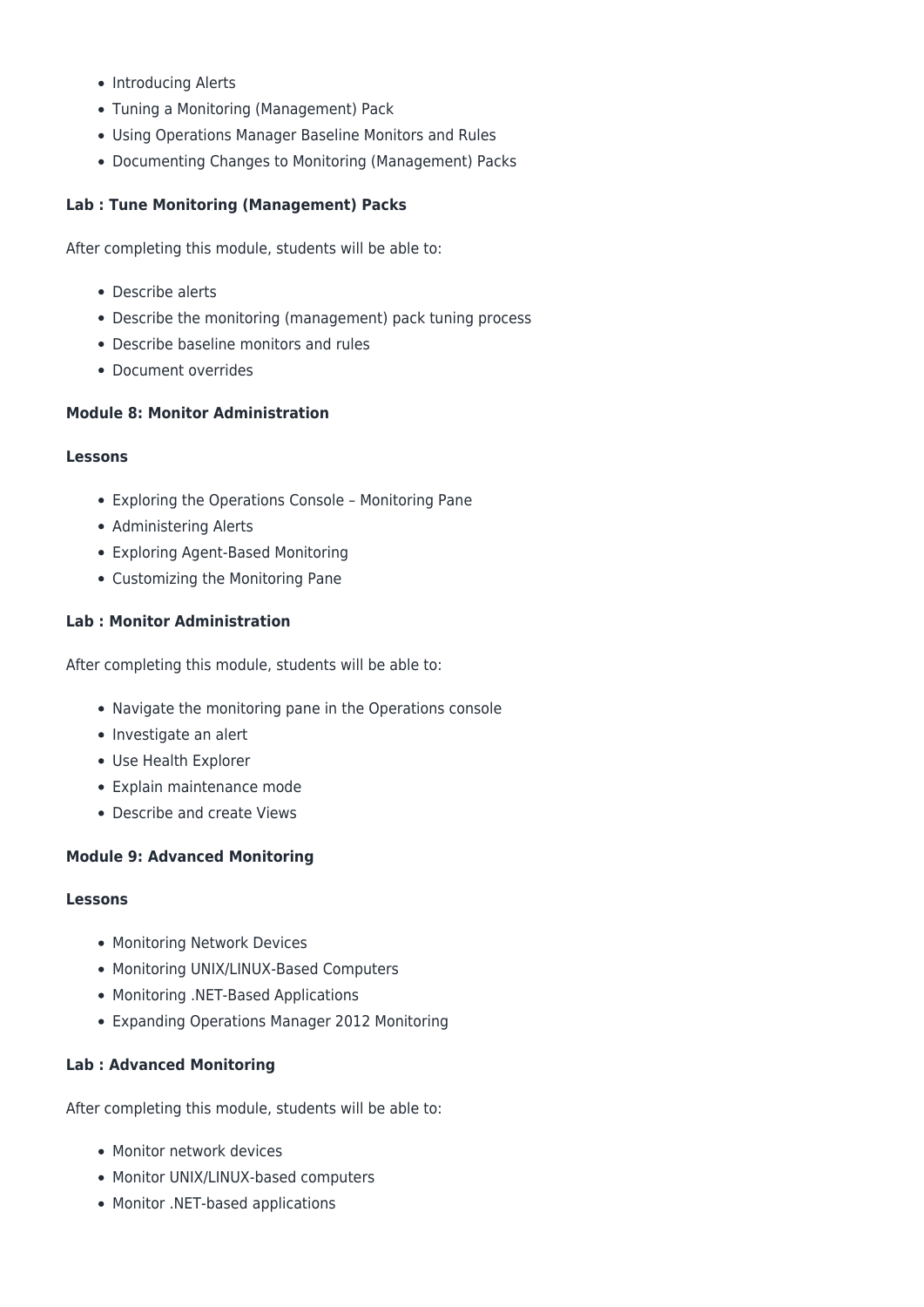- Introducing Alerts
- Tuning a Monitoring (Management) Pack
- Using Operations Manager Baseline Monitors and Rules
- Documenting Changes to Monitoring (Management) Packs

# **Lab : Tune Monitoring (Management) Packs**

After completing this module, students will be able to:

- Describe alerts
- Describe the monitoring (management) pack tuning process
- Describe baseline monitors and rules
- Document overrides

# **Module 8: Monitor Administration**

#### **Lessons**

- Exploring the Operations Console Monitoring Pane
- Administering Alerts
- Exploring Agent-Based Monitoring
- Customizing the Monitoring Pane

# **Lab : Monitor Administration**

After completing this module, students will be able to:

- Navigate the monitoring pane in the Operations console
- Investigate an alert
- Use Health Explorer
- Explain maintenance mode
- Describe and create Views

# **Module 9: Advanced Monitoring**

#### **Lessons**

- Monitoring Network Devices
- Monitoring UNIX/LINUX-Based Computers
- Monitoring .NET-Based Applications
- Expanding Operations Manager 2012 Monitoring

# **Lab : Advanced Monitoring**

After completing this module, students will be able to:

- Monitor network devices
- Monitor UNIX/LINUX-based computers
- Monitor .NET-based applications